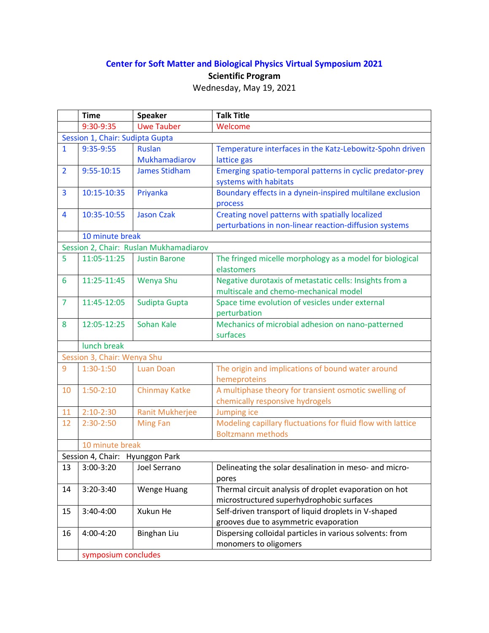## **Center for Soft Matter and Biological Physics Virtual Symposium 2021 Scientific Program**

| Wednesday, May 19, 2021 |
|-------------------------|
|                         |

|                                        | <b>Time</b>                     | <b>Speaker</b>                 | <b>Talk Title</b>                                                                                          |  |
|----------------------------------------|---------------------------------|--------------------------------|------------------------------------------------------------------------------------------------------------|--|
|                                        | 9:30-9:35                       | <b>Uwe Tauber</b>              | Welcome                                                                                                    |  |
|                                        | Session 1, Chair: Sudipta Gupta |                                |                                                                                                            |  |
| $\mathbf{1}$                           | 9:35-9:55                       | <b>Ruslan</b><br>Mukhamadiarov | Temperature interfaces in the Katz-Lebowitz-Spohn driven<br>lattice gas                                    |  |
| $\overline{2}$                         | $9:55 - 10:15$                  | <b>James Stidham</b>           | Emerging spatio-temporal patterns in cyclic predator-prey<br>systems with habitats                         |  |
| 3                                      | 10:15-10:35                     | Priyanka                       | Boundary effects in a dynein-inspired multilane exclusion<br>process                                       |  |
| 4                                      | 10:35-10:55                     | <b>Jason Czak</b>              | Creating novel patterns with spatially localized<br>perturbations in non-linear reaction-diffusion systems |  |
|                                        | 10 minute break                 |                                |                                                                                                            |  |
| Session 2, Chair: Ruslan Mukhamadiarov |                                 |                                |                                                                                                            |  |
| 5                                      | 11:05-11:25                     | <b>Justin Barone</b>           | The fringed micelle morphology as a model for biological<br>elastomers                                     |  |
| 6                                      | 11:25-11:45                     | Wenya Shu                      | Negative durotaxis of metastatic cells: Insights from a<br>multiscale and chemo-mechanical model           |  |
| $\overline{7}$                         | 11:45-12:05                     | Sudipta Gupta                  | Space time evolution of vesicles under external<br>perturbation                                            |  |
| 8                                      | 12:05-12:25                     | Sohan Kale                     | Mechanics of microbial adhesion on nano-patterned<br>surfaces                                              |  |
|                                        | lunch break                     |                                |                                                                                                            |  |
| Session 3, Chair: Wenya Shu            |                                 |                                |                                                                                                            |  |
| 9                                      | $1:30-1:50$                     | <b>Luan Doan</b>               | The origin and implications of bound water around<br>hemeproteins                                          |  |
| 10                                     | $1:50-2:10$                     | <b>Chinmay Katke</b>           | A multiphase theory for transient osmotic swelling of<br>chemically responsive hydrogels                   |  |
| 11                                     | $2:10-2:30$                     | Ranit Mukherjee                | Jumping ice                                                                                                |  |
| 12                                     | $2:30-2:50$                     | <b>Ming Fan</b>                | Modeling capillary fluctuations for fluid flow with lattice<br><b>Boltzmann methods</b>                    |  |
|                                        | 10 minute break                 |                                |                                                                                                            |  |
| Session 4, Chair: Hyunggon Park        |                                 |                                |                                                                                                            |  |
| 13                                     |                                 | 3:00-3:20   Joel Serrano       | Delineating the solar desalination in meso- and micro-<br>pores                                            |  |
| 14                                     | 3:20-3:40                       | <b>Wenge Huang</b>             | Thermal circuit analysis of droplet evaporation on hot<br>microstructured superhydrophobic surfaces        |  |
| 15                                     | 3:40-4:00                       | Xukun He                       | Self-driven transport of liquid droplets in V-shaped<br>grooves due to asymmetric evaporation              |  |
| 16                                     | 4:00-4:20                       | Binghan Liu                    | Dispersing colloidal particles in various solvents: from<br>monomers to oligomers                          |  |
|                                        | symposium concludes             |                                |                                                                                                            |  |